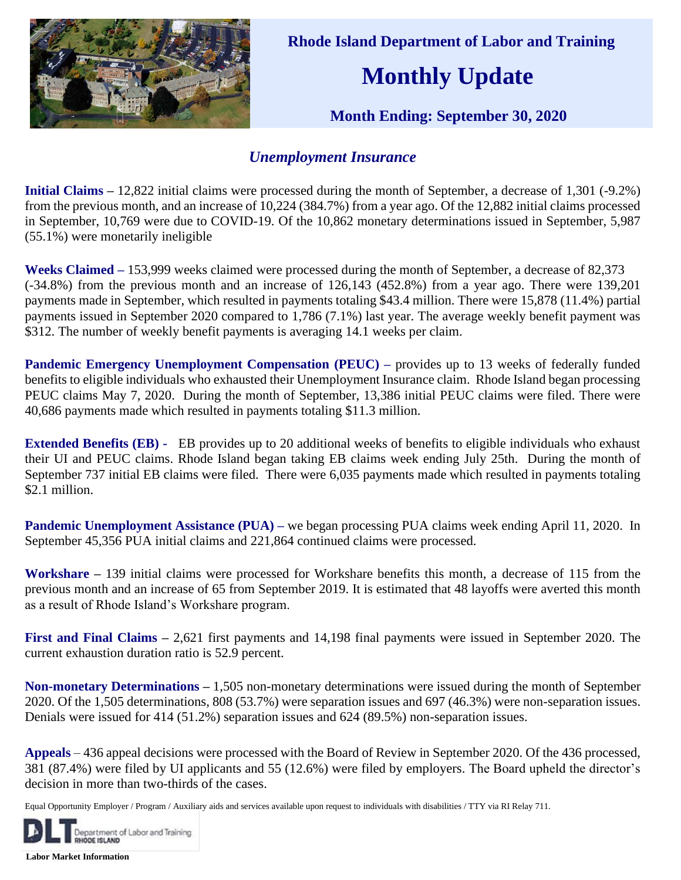

 **Rhode Island Department of Labor and Training**

## **Monthly Update**

 **Month Ending: September 30, 2020** 

## *Unemployment Insurance*

**Initial Claims –** 12,822 initial claims were processed during the month of September, a decrease of 1,301 (-9.2%) from the previous month, and an increase of 10,224 (384.7%) from a year ago. Of the 12,882 initial claims processed in September, 10,769 were due to COVID-19. Of the 10,862 monetary determinations issued in September, 5,987 (55.1%) were monetarily ineligible

**Weeks Claimed –** 153,999 weeks claimed were processed during the month of September, a decrease of 82,373 (-34.8%) from the previous month and an increase of 126,143 (452.8%) from a year ago. There were 139,201 payments made in September, which resulted in payments totaling \$43.4 million. There were 15,878 (11.4%) partial payments issued in September 2020 compared to 1,786 (7.1%) last year. The average weekly benefit payment was \$312. The number of weekly benefit payments is averaging 14.1 weeks per claim.

**Pandemic Emergency Unemployment Compensation (PEUC) – provides up to 13 weeks of federally funded** benefits to eligible individuals who exhausted their Unemployment Insurance claim. Rhode Island began processing PEUC claims May 7, 2020. During the month of September, 13,386 initial PEUC claims were filed. There were 40,686 payments made which resulted in payments totaling \$11.3 million.

**Extended Benefits (EB) -** EB provides up to 20 additional weeks of benefits to eligible individuals who exhaust their UI and PEUC claims. Rhode Island began taking EB claims week ending July 25th. During the month of September 737 initial EB claims were filed. There were 6,035 payments made which resulted in payments totaling \$2.1 million.

**Pandemic Unemployment Assistance (PUA) – we began processing PUA claims week ending April 11, 2020. In** September 45,356 PUA initial claims and 221,864 continued claims were processed.

**Workshare –** 139 initial claims were processed for Workshare benefits this month, a decrease of 115 from the previous month and an increase of 65 from September 2019. It is estimated that 48 layoffs were averted this month as a result of Rhode Island's Workshare program.

**First and Final Claims –** 2,621 first payments and 14,198 final payments were issued in September 2020. The current exhaustion duration ratio is 52.9 percent.

**Non-monetary Determinations –** 1,505 non-monetary determinations were issued during the month of September 2020. Of the 1,505 determinations, 808 (53.7%) were separation issues and 697 (46.3%) were non-separation issues. Denials were issued for 414 (51.2%) separation issues and 624 (89.5%) non-separation issues.

**Appeals** – 436 appeal decisions were processed with the Board of Review in September 2020. Of the 436 processed, 381 (87.4%) were filed by UI applicants and 55 (12.6%) were filed by employers. The Board upheld the director's decision in more than two-thirds of the cases.

Equal Opportunity Employer / Program / Auxiliary aids and services available upon request to individuals with disabilities / TTY via RI Relay 711.



**Labor Market Information**